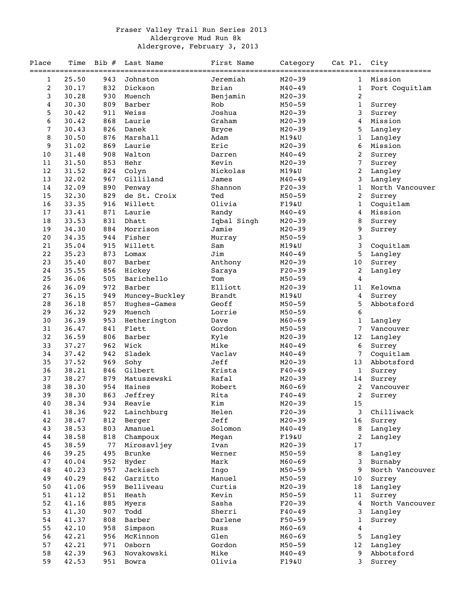## Fraser Valley Trail Run Series 2013 Aldergrove Mud Run 8k Aldergrove, February 3, 2013

| Place | Time                         | $Bib \#$     | Last Name                         | First Name                   | Category   | Cat Pl.          | City                                              |
|-------|------------------------------|--------------|-----------------------------------|------------------------------|------------|------------------|---------------------------------------------------|
| 1     | ===================<br>25.50 | $===$<br>943 | _____________________<br>Johnston | ================<br>Jeremiah | $M20 - 39$ | 1                | ======================================<br>Mission |
| 2     | 30.17                        | 832          | Dickson                           | Brian                        | $M40 - 49$ | $\mathbf{1}$     | Port Coquitlam                                    |
| 3     | 30.28                        | 930          | Muench                            | Benjamin                     | $M20 - 39$ | $\boldsymbol{2}$ |                                                   |
| 4     | 30.30                        | 809          | Barber                            | Rob                          | $M50 - 59$ | $\mathbf{1}$     | Surrey                                            |
| 5     | 30.42                        | 911          | Weiss                             | Joshua                       | $M20 - 39$ | 3                | Surrey                                            |
| 6     | 30.42                        | 868          | Laurie                            | Graham                       | $M20 - 39$ | 4                | Mission                                           |
| 7     | 30.43                        | 826          | Danek                             | <b>Bryce</b>                 | $M20 - 39$ | 5                | Langley                                           |
| 8     | 30.50                        | 876          | Marshall                          | Adam                         | M19&U      | $\mathbf 1$      | Langley                                           |
| 9     | 31.02                        | 869          | Laurie                            | Eric                         | $M20 - 39$ | 6                | Mission                                           |
| 10    | 31.48                        | 908          | Walton                            | Darren                       | $M40 - 49$ | 2                | Surrey                                            |
| 11    | 31.50                        | 853          | Hehr                              | Kevin                        | $M20 - 39$ | 7                | Surrey                                            |
| 12    | 31.52                        | 824          | Colyn                             | Nickolas                     | M19&U      | 2                | Langley                                           |
| 13    | 32.02                        | 967          | Gilliland                         | James                        | $M40 - 49$ | 3                | Langley                                           |
| 14    | 32.09                        | 890          | Penway                            | Shannon                      | $F20-39$   | $\mathbf{1}$     | North Vancouver                                   |
| 15    | 32.30                        | 829          | de St. Croix                      | Ted                          | $M50 - 59$ | 2                | Surrey                                            |
| 16    | 33.35                        | 916          | Willett                           | Olivia                       | F19&U      | 1                | Coquitlam                                         |
| 17    | 33.41                        | 871          | Laurie                            | Randy                        | $M40 - 49$ | 4                | Mission                                           |
| 18    | 33.53                        | 831          | Dhatt                             | Iqbal Singh                  | $M20 - 39$ | 8                | Surrey                                            |
| 19    | 34.30                        | 884          | Morrison                          | Jamie                        | $M20 - 39$ | 9                | Surrey                                            |
| 20    | 34.35                        | 944          | Fisher                            | Murray                       | $M50 - 59$ | $\mathbf{3}$     |                                                   |
| 21    | 35.04                        | 915          | Willett                           | Sam                          | M19&U      | 3                | Coquitlam                                         |
| 22    | 35.23                        | 873          | Lomax                             | Jim                          | $M40 - 49$ | 5                | Langley                                           |
| 23    | 35.40                        | 807          | Barber                            | Anthony                      | $M20 - 39$ | 10               | Surrey                                            |
| 24    | 35.55                        | 856          | Hickey                            | Saraya                       | $F20-39$   | 2                | Langley                                           |
| 25    | 36.06                        | 505          | Barichello                        | Tom                          | $M50 - 59$ | 4                |                                                   |
| 26    | 36.09                        | 972          | Barber                            | Elliott                      | $M20 - 39$ | 11               | Kelowna                                           |
| 27    | 36.15                        | 949          | Muncey-Buckley                    | Brandt                       | M19&U      | 4                | Surrey                                            |
| 28    | 36.18                        | 857          | Hughes-Games                      | Geoff                        | $M50 - 59$ | 5                | Abbotsford                                        |
| 29    | 36.32                        | 929          | Muench                            | Lorrie                       | $M50 - 59$ | 6                |                                                   |
| 30    | 36.39                        | 953          | Hetherington                      | Dave                         | $M60 - 69$ | 1                | Langley                                           |
| 31    | 36.47                        | 841          | Flett                             | Gordon                       | $M50 - 59$ | 7                | Vancouver                                         |
| 32    | 36.59                        | 806          | Barber                            | Kyle                         | $M20 - 39$ | 12               | Langley                                           |
| 33    | 37.27                        | 962          | Wick                              | Mike                         | $M40 - 49$ | 6                | Surrey                                            |
| 34    | 37.42                        | 942          | Sladek                            | Vaclav                       | $M40 - 49$ | 7                | Coquitlam                                         |
| 35    | 37.52                        | 969          | Sohy                              | Jeff                         | $M20 - 39$ | 13               | Abbotsford                                        |
| 36    | 38.21                        | 846          | Gilbert                           | Krista                       | $F40 - 49$ | $\mathbf{1}$     | Surrey                                            |
| 37    | 38.27                        | 879          | Matuszewski                       | Rafal                        | $M20 - 39$ | 14               | Surrey                                            |
| 38    | 38.30                        | 954          | Haines                            | Robert                       | $M60 - 69$ | $\overline{2}$   | Vancouver                                         |
| 39    | 38.30                        | 863          | Jeffrey                           | Rita                         | F40-49     | 2                | Surrey                                            |
| 40    | 38.34                        | 934          | Reavie                            | Kim                          | $M20 - 39$ | 15               |                                                   |
| 41    | 38.36                        | 922          | Lainchburg                        | Helen                        | $F20-39$   | 3                | Chilliwack                                        |
| 42    | 38.47                        | 812          | Berger                            | Jeff                         | $M20 - 39$ | 16               | Surrey                                            |
| 43    | 38.53                        | 803          | Amanuel                           | Solomon                      | $M40 - 49$ | 8                | Langley                                           |
| 44    | 38.58                        | 818          | Champoux                          | Megan                        | F19&U      | 2                | Langley                                           |
| 45    | 38.59                        | 77           | Mirosavljey                       | Ivan                         | $M20 - 39$ | 17               |                                                   |
| 46    | 39.25                        | 495          | Brunke                            | Werner                       | $M50 - 59$ | 8                | Langley                                           |
| 47    | 40.04                        | 952          | Hyder                             | Mark                         | $M60 - 69$ | 3                | Burnaby                                           |
| 48    | 40.23                        | 957          | Jackisch                          | Ingo                         | $M50 - 59$ | 9                | North Vancouver                                   |
| 49    | 40.29                        | 842          | Garzitto                          | Manuel                       | $M50 - 59$ | 10               | Surrey                                            |
| 50    | 41.06                        | 959          | Belliveau                         | Curtis                       | $M20 - 39$ | 18               | Langley                                           |
| 51    | 41.12                        | 851          | Heath                             | Kevin                        | $M50 - 59$ | 11               | Surrey                                            |
| 52    | 41.16                        | 885          | Myers                             | Sasha                        | $F20-39$   | 4                | North Vancouver                                   |
| 53    | 41.30                        | 907          | Todd                              | Sherri                       | $F40 - 49$ | 3                | Langley                                           |
| 54    | 41.37                        | 808          | Barber                            | Darlene                      | $F50 - 59$ | 1                | Surrey                                            |
| 55    | 42.10                        | 958          | Simpson                           | Russ                         | $M60 - 69$ | 4                |                                                   |
| 56    | 42.21                        | 956          | McKinnon                          | Glen                         | $M60 - 69$ | 5                | Langley                                           |
| 57    | 42.21                        | 971          | Osborn                            | Gordon                       | $M50 - 59$ | 12               | Langley                                           |
| 58    | 42.39                        | 963          | Novakowski                        | Mike                         | $M40 - 49$ | 9                | Abbotsford                                        |
| 59    | 42.53                        | 951          | Bowra                             | Olivia                       | F19&U      | 3                | Surrey                                            |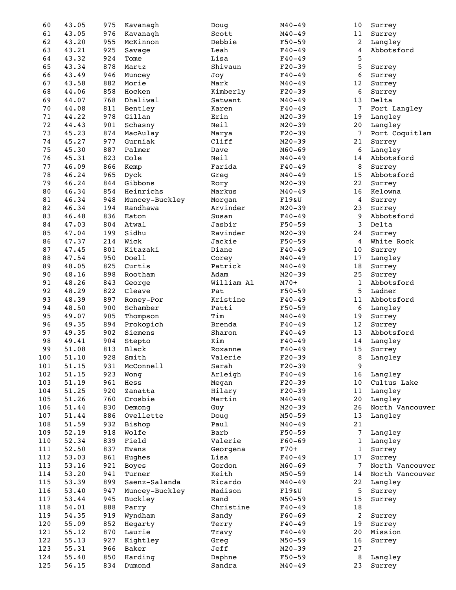| 60     | 43.05 | 975 | Kavanagh       | Doug       | $M40 - 49$ | 10             | Surrey          |
|--------|-------|-----|----------------|------------|------------|----------------|-----------------|
| 61     | 43.05 | 976 | Kavanagh       | Scott      | $M40 - 49$ | 11             | Surrey          |
| 62     | 43.20 | 955 | McKinnon       | Debbie     | $F50 - 59$ | 2              | Langley         |
| 63     | 43.21 | 925 | Savage         | Leah       | $F40 - 49$ | 4              | Abbotsford      |
| 64     | 43.32 | 924 | Tome           | Lisa       | $F40 - 49$ | 5              |                 |
| 65     | 43.34 | 878 | Martz          | Shivaun    | $F20-39$   | 5              | Surrey          |
| 66     | 43.49 | 946 | Muncey         | Joy        | $F40 - 49$ | 6              | Surrey          |
| 67     | 43.58 | 882 | Morie          | Mark       | $M40 - 49$ | 12             | Surrey          |
| 68     | 44.06 | 858 | Hocken         | Kimberly   | $F20-39$   | 6              | Surrey          |
| 69     | 44.07 | 768 | Dhaliwal       | Satwant    | $M40 - 49$ | 13             | Delta           |
| $70\,$ | 44.08 | 811 | Bentley        | Karen      | $F40 - 49$ | $\overline{7}$ | Fort Langley    |
| 71     | 44.22 | 978 | Gillan         | Erin       | $M20 - 39$ | 19             | Langley         |
| 72     | 44.43 | 901 | Schasny        | Neil       | $M20 - 39$ | 20             | Langley         |
| 73     | 45.23 | 874 | MacAulay       | Marya      | $F20-39$   | 7              | Port Coquitlam  |
| 74     | 45.27 | 977 | Gurniak        | Cliff      | $M20 - 39$ | 21             | Surrey          |
| 75     | 45.30 | 887 | Palmer         | Dave       | $M60 - 69$ | 6              | Langley         |
| 76     | 45.31 | 823 | Cole           | Neil       | $M40 - 49$ | 14             | Abbotsford      |
| 77     | 46.09 | 866 | Kemp           | Farida     | $F40 - 49$ | $\, 8$         | Surrey          |
| 78     | 46.24 | 965 | Dyck           | Greg       | $M40 - 49$ | 15             | Abbotsford      |
| 79     | 46.24 | 844 | Gibbons        | Rory       | $M20 - 39$ | 22             | Surrey          |
| 80     | 46.34 | 854 | Heinrichs      | Markus     | $M40 - 49$ | 16             | Kelowna         |
| 81     | 46.34 | 948 | Muncey-Buckley | Morgan     | F19&U      | 4              | Surrey          |
| 82     | 46.34 | 194 | Randhawa       | Arvinder   | $M20 - 39$ | 23             | Surrey          |
| 83     | 46.48 | 836 | Eaton          | Susan      | $F40 - 49$ | 9              | Abbotsford      |
|        |       |     | Atwal          |            | $F50 - 59$ | 3              |                 |
| 84     | 47.03 | 804 |                | Jasbir     |            |                | Delta           |
| 85     | 47.04 | 199 | Sidhu          | Ravinder   | $M20 - 39$ | 24             | Surrey          |
| 86     | 47.37 | 214 | Wick           | Jackie     | $F50 - 59$ | 4              | White Rock      |
| 87     | 47.45 | 801 | Kitazaki       | Diane      | $F40 - 49$ | 10             | Surrey          |
| 88     | 47.54 | 950 | Doell          | Corey      | $M40 - 49$ | 17             | Langley         |
| 89     | 48.05 | 825 | Curtis         | Patrick    | $M40 - 49$ | 18             | Surrey          |
| 90     | 48.16 | 898 | Rootham        | Adam       | $M20 - 39$ | 25             | Surrey          |
| 91     | 48.26 | 843 | George         | William Al | $M70+$     | $\mathbf{1}$   | Abbotsford      |
| 92     | 48.29 | 822 | Cleave         | Pat        | $F50 - 59$ | 5              | Ladner          |
| 93     | 48.39 | 897 | Roney-Por      | Kristine   | $F40 - 49$ | 11             | Abbotsford      |
| 94     | 48.50 | 900 | Schamber       | Patti      | $F50 - 59$ | 6              | Langley         |
| 95     | 49.07 | 905 | Thompson       | Tim        | $M40 - 49$ | 19             | Surrey          |
| 96     | 49.35 | 894 | Prokopich      | Brenda     | $F40 - 49$ | 12             | Surrey          |
| 97     | 49.35 | 902 | Siemens        | Sharon     | $F40 - 49$ | 13             | Abbotsford      |
| 98     | 49.41 | 904 | Stepto         | Kim        | $F40 - 49$ | 14             | Langley         |
| 99     | 51.08 | 813 | Black          | Roxanne    | $F40 - 49$ | 15             | Surrey          |
| 100    | 51.10 | 928 | Smith          | Valerie    | $F20-39$   | 8              | Langley         |
| 101    | 51.15 | 931 | McConnell      | Sarah      | $F20-39$   | 9              |                 |
| 102    | 51.15 | 923 | Wong           | Arleigh    | $F40 - 49$ | 16             | Langley         |
| 103    | 51.19 | 961 | Hess           | Megan      | $F20-39$   | 10             | Cultus Lake     |
| 104    | 51.25 | 920 | Zanatta        | Hilary     | $F20-39$   | 11             | Langley         |
| 105    | 51.26 | 760 | Crosbie        | Martin     | $M40 - 49$ | 20             | Langley         |
| 106    | 51.44 | 830 | Demong         | Guy        | $M20 - 39$ | 26             | North Vancouver |
| 107    | 51.44 | 886 | Ovellette      | Doug       | $M50 - 59$ | 13             | Langley         |
| 108    | 51.59 | 932 | Bishop         | Paul       | $M40 - 49$ | 21             |                 |
| 109    | 52.19 | 918 | Wolfe          | Barb       | $F50 - 59$ | 7              | Langley         |
| 110    | 52.34 | 839 | Field          | Valerie    | $F60 - 69$ | $\mathbf{1}$   | Langley         |
| 111    | 52.50 | 837 | Evans          | Georgena   | $F70+$     | $\mathbf{1}$   | Surrey          |
| 112    | 53.03 | 861 | Hughes         | Lisa       | $F40 - 49$ | 17             | Surrey          |
| 113    | 53.16 | 921 | <b>Boyes</b>   | Gordon     | $M60 - 69$ | 7              | North Vancouver |
| 114    | 53.20 | 941 | Turner         | Keith      | $M50 - 59$ | 14             | North Vancouver |
| 115    | 53.39 | 899 | Saenz-Salanda  | Ricardo    | $M40 - 49$ | 22             | Langley         |
| 116    |       |     |                | Madison    |            |                |                 |
|        | 53.40 | 947 | Muncey-Buckley |            | F19&U      | 5              | Surrey          |
| 117    | 53.44 | 945 | Buckley        | Rand       | $M50 - 59$ | 15             | Surrey          |
| 118    | 54.01 | 888 | Parry          | Christine  | $F40 - 49$ | 18             |                 |
| 119    | 54.35 | 919 | Wyndham        | Sandy      | $F60 - 69$ | $\overline{a}$ | Surrey          |
| 120    | 55.09 | 852 | Hegarty        | Terry      | $F40 - 49$ | 19             | Surrey          |
| 121    | 55.12 | 870 | Laurie         | Travy      | $F40 - 49$ | 20             | Mission         |
| 122    | 55.13 | 927 | Kightley       | Greg       | $M50 - 59$ | 16             | Surrey          |
| 123    | 55.31 | 966 | Baker          | Jeff       | $M20 - 39$ | 27             |                 |
| 124    | 55.40 | 850 | Harding        | Daphne     | $F50 - 59$ | 8              | Langley         |
| 125    | 56.15 | 834 | Dumond         | Sandra     | $M40 - 49$ | 23             | Surrey          |